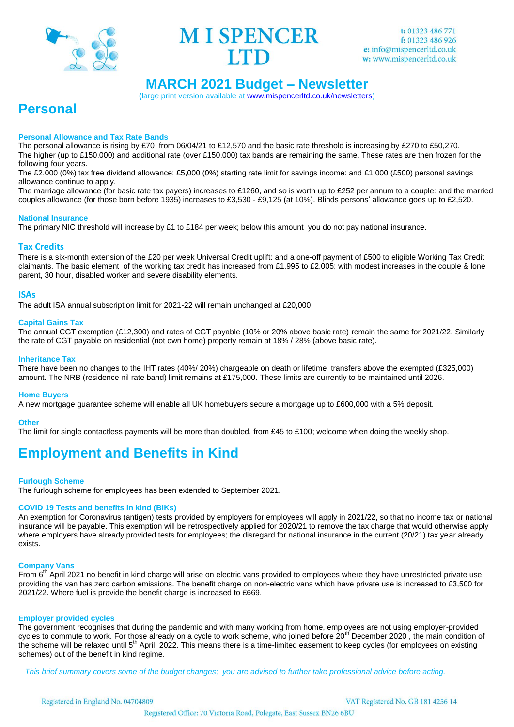



# **MARCH 2021 Budget – Newsletter**

**(**large print version available at [www.mispencerltd.co.uk/newsletters\)](http://www.mispencerltd.co.uk/newsletters)

# **Personal**

# **Personal Allowance and Tax Rate Bands**

The personal allowance is rising by £70 from 06/04/21 to £12,570 and the basic rate threshold is increasing by £270 to £50,270. The higher (up to £150,000) and additional rate (over £150,000) tax bands are remaining the same. These rates are then frozen for the following four years.

The £2,000 (0%) tax free dividend allowance; £5,000 (0%) starting rate limit for savings income: and £1,000 (£500) personal savings allowance continue to apply.

The marriage allowance (for basic rate tax payers) increases to £1260, and so is worth up to £252 per annum to a couple: and the married couples allowance (for those born before 1935) increases to £3,530 - £9,125 (at 10%). Blinds persons' allowance goes up to £2,520.

## **National Insurance**

The primary NIC threshold will increase by £1 to £184 per week; below this amount you do not pay national insurance.

# **Tax Credits**

There is a six-month extension of the £20 per week Universal Credit uplift: and a one-off payment of £500 to eligible Working Tax Credit claimants. The basic element of the working tax credit has increased from £1,995 to £2,005; with modest increases in the couple & lone parent, 30 hour, disabled worker and severe disability elements.

## **ISAs**

The adult ISA annual subscription limit for 2021-22 will remain unchanged at £20,000

## **Capital Gains Tax**

The annual CGT exemption (£12,300) and rates of CGT payable (10% or 20% above basic rate) remain the same for 2021/22. Similarly the rate of CGT payable on residential (not own home) property remain at 18% / 28% (above basic rate).

## **Inheritance Tax**

There have been no changes to the IHT rates (40%/ 20%) chargeable on death or lifetime transfers above the exempted (£325,000) amount. The NRB (residence nil rate band) limit remains at £175,000. These limits are currently to be maintained until 2026.

#### **Home Buyers**

A new mortgage guarantee scheme will enable all UK homebuyers secure a mortgage up to £600,000 with a 5% deposit.

#### **Other**

The limit for single contactless payments will be more than doubled, from £45 to £100; welcome when doing the weekly shop.

# **Employment and Benefits in Kind**

# **Furlough Scheme**

The furlough scheme for employees has been extended to September 2021.

# **COVID 19 Tests and benefits in kind (BiKs)**

An exemption for Coronavirus (antigen) tests provided by employers for employees will apply in 2021/22, so that no income tax or national insurance will be payable. This exemption will be retrospectively applied for 2020/21 to remove the tax charge that would otherwise apply where employers have already provided tests for employees; the disregard for national insurance in the current (20/21) tax year already exists.

#### **Company Vans**

From 6<sup>th</sup> April 2021 no benefit in kind charge will arise on electric vans provided to employees where they have unrestricted private use, providing the van has zero carbon emissions. The benefit charge on non-electric vans which have private use is increased to £3,500 for 2021/22. Where fuel is provide the benefit charge is increased to £669.

#### **Employer provided cycles**

The government recognises that during the pandemic and with many working from home, employees are not using employer-provided cycles to commute to work. For those already on a cycle to work scheme, who joined before 20<sup>th</sup> December 2020, the main condition of the scheme will be relaxed until  $5<sup>th</sup>$  April, 2022. This means there is a time-limited easement to keep cycles (for employees on existing schemes) out of the benefit in kind regime.

 *This brief summary covers some of the budget changes; you are advised to further take professional advice before acting.*